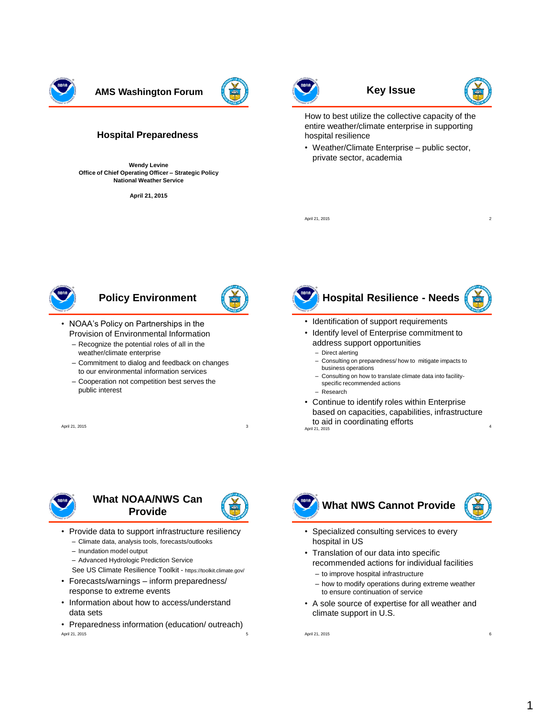

**AMS Washington Forum**  $\left(\frac{1}{2}x\right)$  **Key Issue** 

#### **Hospital Preparedness**

**Wendy Levine Office of Chief Operating Officer – Strategic Policy National Weather Service**

**April 21, 2015**





How to best utilize the collective capacity of the entire weather/climate enterprise in supporting hospital resilience

• Weather/Climate Enterprise – public sector, private sector, academia

April 21, 2015 2016

### **Policy Environment**

- 
- NOAA's Policy on Partnerships in the Provision of Environmental Information
	- Recognize the potential roles of all in the weather/climate enterprise
	- Commitment to dialog and feedback on changes to our environmental information services
	- Cooperation not competition best serves the public interest

April 21, 2015



- Identification of support requirements
- Identify level of Enterprise commitment to address support opportunities
	- Direct alerting
	- Consulting on preparedness/ how to mitigate impacts to business operations
	- Consulting on how to translate climate data into facilityspecific recommended actions
	- Research
- Continue to identify roles within Enterprise based on capacities, capabilities, infrastructure to aid in coordinating efforts April 21, 2015 <sup>4</sup>

## **What NOAA/NWS Can Provide**



- Provide data to support infrastructure resiliency
	- Climate data, analysis tools, forecasts/outlooks
	- Inundation model output
	- Advanced Hydrologic Prediction Service
	- See US Climate Resilience Toolkit https://toolkit.climate.gov/
- Forecasts/warnings inform preparedness/ response to extreme events
- Information about how to access/understand data sets
- Preparedness information (education/ outreach) April 21, 2015 5



- Specialized consulting services to every hospital in US
- Translation of our data into specific recommended actions for individual facilities
	- to improve hospital infrastructure
	- how to modify operations during extreme weather to ensure continuation of service
- A sole source of expertise for all weather and climate support in U.S.

April 21, 2015 6